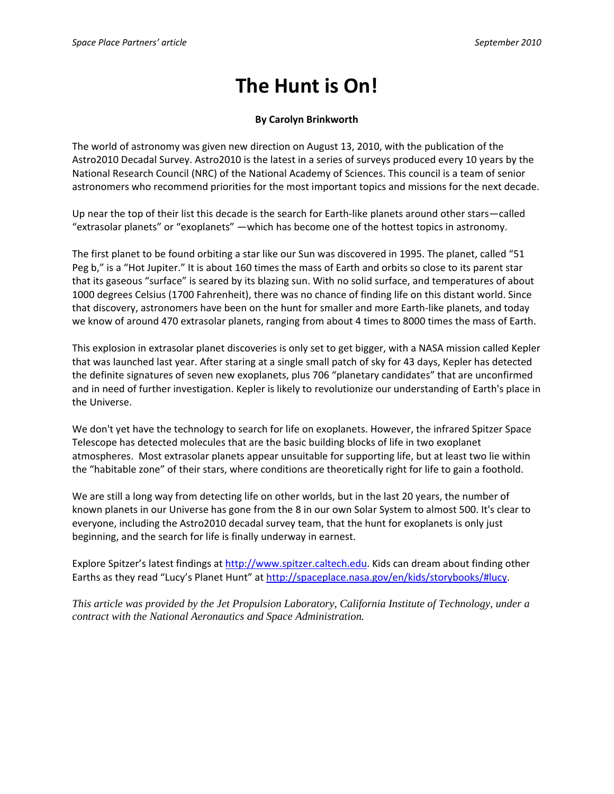## **The Hunt is On!**

## **By Carolyn Brinkworth**

The world of astronomy was given new direction on August 13, 2010, with the publication of the Astro2010 Decadal Survey. Astro2010 is the latest in a series of surveys produced every 10 years by the National Research Council (NRC) of the National Academy of Sciences. This council is a team of senior astronomers who recommend priorities for the most important topics and missions for the next decade.

Up near the top of their list this decade is the search for Earth‐like planets around other stars—called "extrasolar planets" or "exoplanets" —which has become one of the hottest topics in astronomy.

The first planet to be found orbiting a star like our Sun was discovered in 1995. The planet, called "51 Peg b," is a "Hot Jupiter." It is about 160 times the mass of Earth and orbits so close to its parent star that its gaseous "surface" is seared by its blazing sun. With no solid surface, and temperatures of about 1000 degrees Celsius (1700 Fahrenheit), there was no chance of finding life on this distant world. Since that discovery, astronomers have been on the hunt for smaller and more Earth‐like planets, and today we know of around 470 extrasolar planets, ranging from about 4 times to 8000 times the mass of Earth.

This explosion in extrasolar planet discoveries is only set to get bigger, with a NASA mission called Kepler that was launched last year. After staring at a single small patch of sky for 43 days, Kepler has detected the definite signatures of seven new exoplanets, plus 706 "planetary candidates" that are unconfirmed and in need of further investigation. Kepler is likely to revolutionize our understanding of Earth's place in the Universe.

We don't yet have the technology to search for life on exoplanets. However, the infrared Spitzer Space Telescope has detected molecules that are the basic building blocks of life in two exoplanet atmospheres. Most extrasolar planets appear unsuitable for supporting life, but at least two lie within the "habitable zone" of their stars, where conditions are theoretically right for life to gain a foothold.

We are still a long way from detecting life on other worlds, but in the last 20 years, the number of known planets in our Universe has gone from the 8 in our own Solar System to almost 500. It's clear to everyone, including the Astro2010 decadal survey team, that the hunt for exoplanets is only just beginning, and the search for life is finally underway in earnest.

Explore Spitzer's latest findings at http://www.spitzer.caltech.edu. Kids can dream about finding other Earths as they read "Lucy's Planet Hunt" at http://spaceplace.nasa.gov/en/kids/storybooks/#lucy.

*This article was provided by the Jet Propulsion Laboratory, California Institute of Technology, under a contract with the National Aeronautics and Space Administration.*